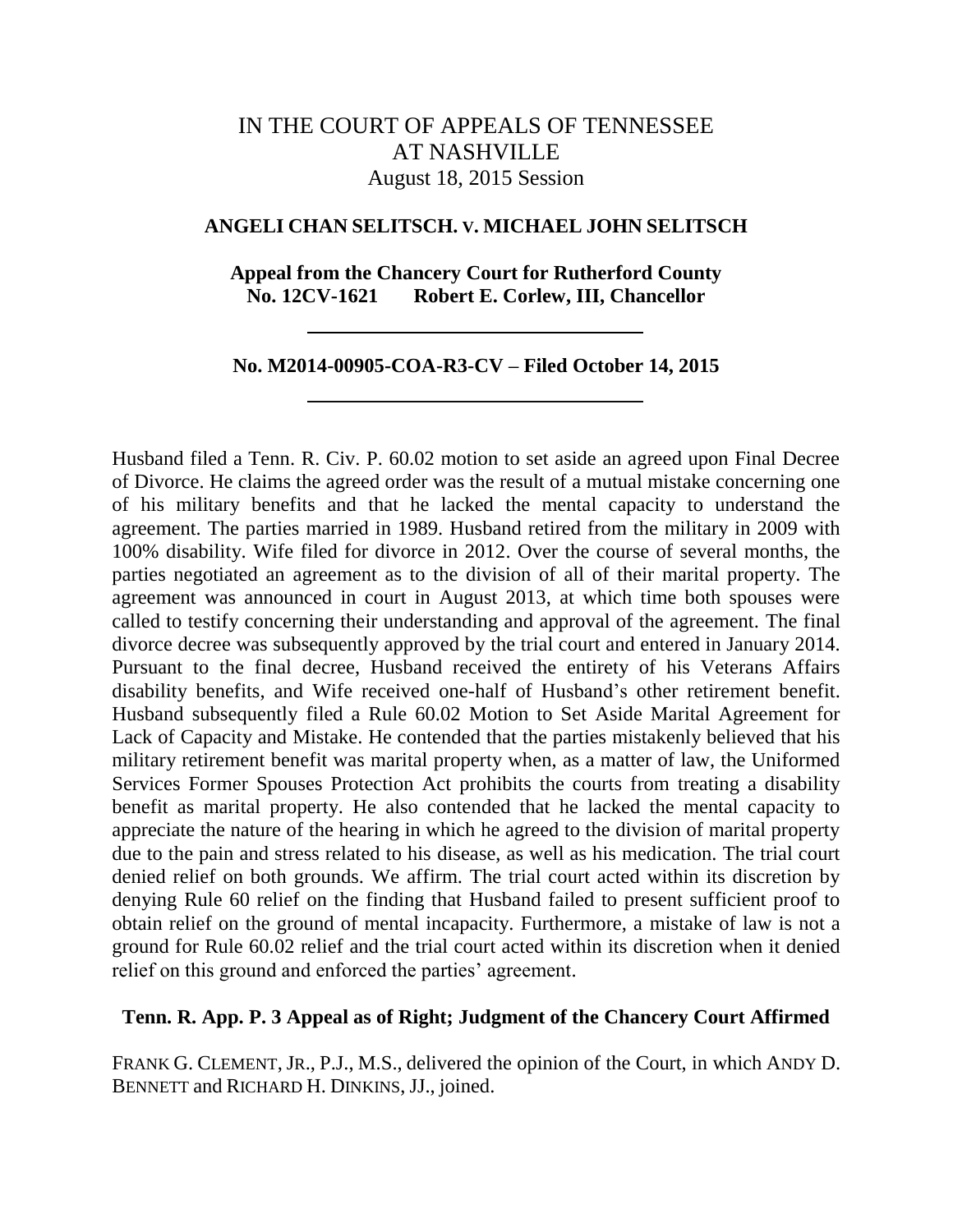# IN THE COURT OF APPEALS OF TENNESSEE AT NASHVILLE August 18, 2015 Session

#### **ANGELI CHAN SELITSCH. V. MICHAEL JOHN SELITSCH**

## **Appeal from the Chancery Court for Rutherford County No. 12CV-1621 Robert E. Corlew, III, Chancellor**

#### **No. M2014-00905-COA-R3-CV – Filed October 14, 2015**

Husband filed a Tenn. R. Civ. P. 60.02 motion to set aside an agreed upon Final Decree of Divorce. He claims the agreed order was the result of a mutual mistake concerning one of his military benefits and that he lacked the mental capacity to understand the agreement. The parties married in 1989. Husband retired from the military in 2009 with 100% disability. Wife filed for divorce in 2012. Over the course of several months, the parties negotiated an agreement as to the division of all of their marital property. The agreement was announced in court in August 2013, at which time both spouses were called to testify concerning their understanding and approval of the agreement. The final divorce decree was subsequently approved by the trial court and entered in January 2014. Pursuant to the final decree, Husband received the entirety of his Veterans Affairs disability benefits, and Wife received one-half of Husband"s other retirement benefit. Husband subsequently filed a Rule 60.02 Motion to Set Aside Marital Agreement for Lack of Capacity and Mistake. He contended that the parties mistakenly believed that his military retirement benefit was marital property when, as a matter of law, the Uniformed Services Former Spouses Protection Act prohibits the courts from treating a disability benefit as marital property. He also contended that he lacked the mental capacity to appreciate the nature of the hearing in which he agreed to the division of marital property due to the pain and stress related to his disease, as well as his medication. The trial court denied relief on both grounds. We affirm. The trial court acted within its discretion by denying Rule 60 relief on the finding that Husband failed to present sufficient proof to obtain relief on the ground of mental incapacity. Furthermore, a mistake of law is not a ground for Rule 60.02 relief and the trial court acted within its discretion when it denied relief on this ground and enforced the parties' agreement.

#### **Tenn. R. App. P. 3 Appeal as of Right; Judgment of the Chancery Court Affirmed**

FRANK G. CLEMENT, JR., P.J., M.S., delivered the opinion of the Court, in which ANDY D. BENNETT and RICHARD H. DINKINS, JJ., joined.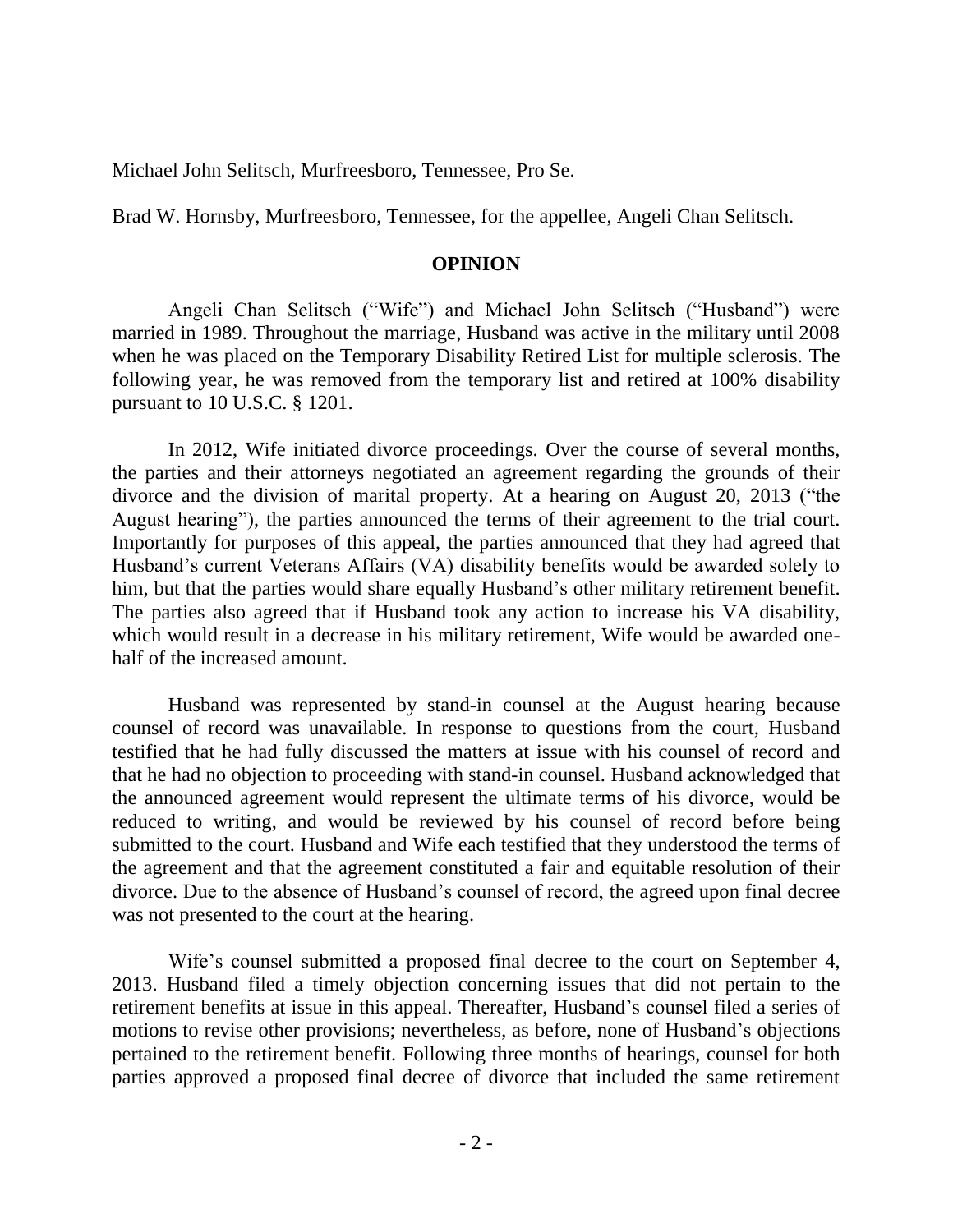Michael John Selitsch, Murfreesboro, Tennessee, Pro Se.

Brad W. Hornsby, Murfreesboro, Tennessee, for the appellee, Angeli Chan Selitsch.

## **OPINION**

Angeli Chan Selitsch ("Wife") and Michael John Selitsch ("Husband") were married in 1989. Throughout the marriage, Husband was active in the military until 2008 when he was placed on the Temporary Disability Retired List for multiple sclerosis. The following year, he was removed from the temporary list and retired at 100% disability pursuant to 10 U.S.C. § 1201.

In 2012, Wife initiated divorce proceedings. Over the course of several months, the parties and their attorneys negotiated an agreement regarding the grounds of their divorce and the division of marital property. At a hearing on August 20, 2013 ("the August hearing"), the parties announced the terms of their agreement to the trial court. Importantly for purposes of this appeal, the parties announced that they had agreed that Husband"s current Veterans Affairs (VA) disability benefits would be awarded solely to him, but that the parties would share equally Husband's other military retirement benefit. The parties also agreed that if Husband took any action to increase his VA disability, which would result in a decrease in his military retirement, Wife would be awarded onehalf of the increased amount.

Husband was represented by stand-in counsel at the August hearing because counsel of record was unavailable. In response to questions from the court, Husband testified that he had fully discussed the matters at issue with his counsel of record and that he had no objection to proceeding with stand-in counsel. Husband acknowledged that the announced agreement would represent the ultimate terms of his divorce, would be reduced to writing, and would be reviewed by his counsel of record before being submitted to the court. Husband and Wife each testified that they understood the terms of the agreement and that the agreement constituted a fair and equitable resolution of their divorce. Due to the absence of Husband"s counsel of record, the agreed upon final decree was not presented to the court at the hearing.

Wife's counsel submitted a proposed final decree to the court on September 4, 2013. Husband filed a timely objection concerning issues that did not pertain to the retirement benefits at issue in this appeal. Thereafter, Husband"s counsel filed a series of motions to revise other provisions; nevertheless, as before, none of Husband"s objections pertained to the retirement benefit. Following three months of hearings, counsel for both parties approved a proposed final decree of divorce that included the same retirement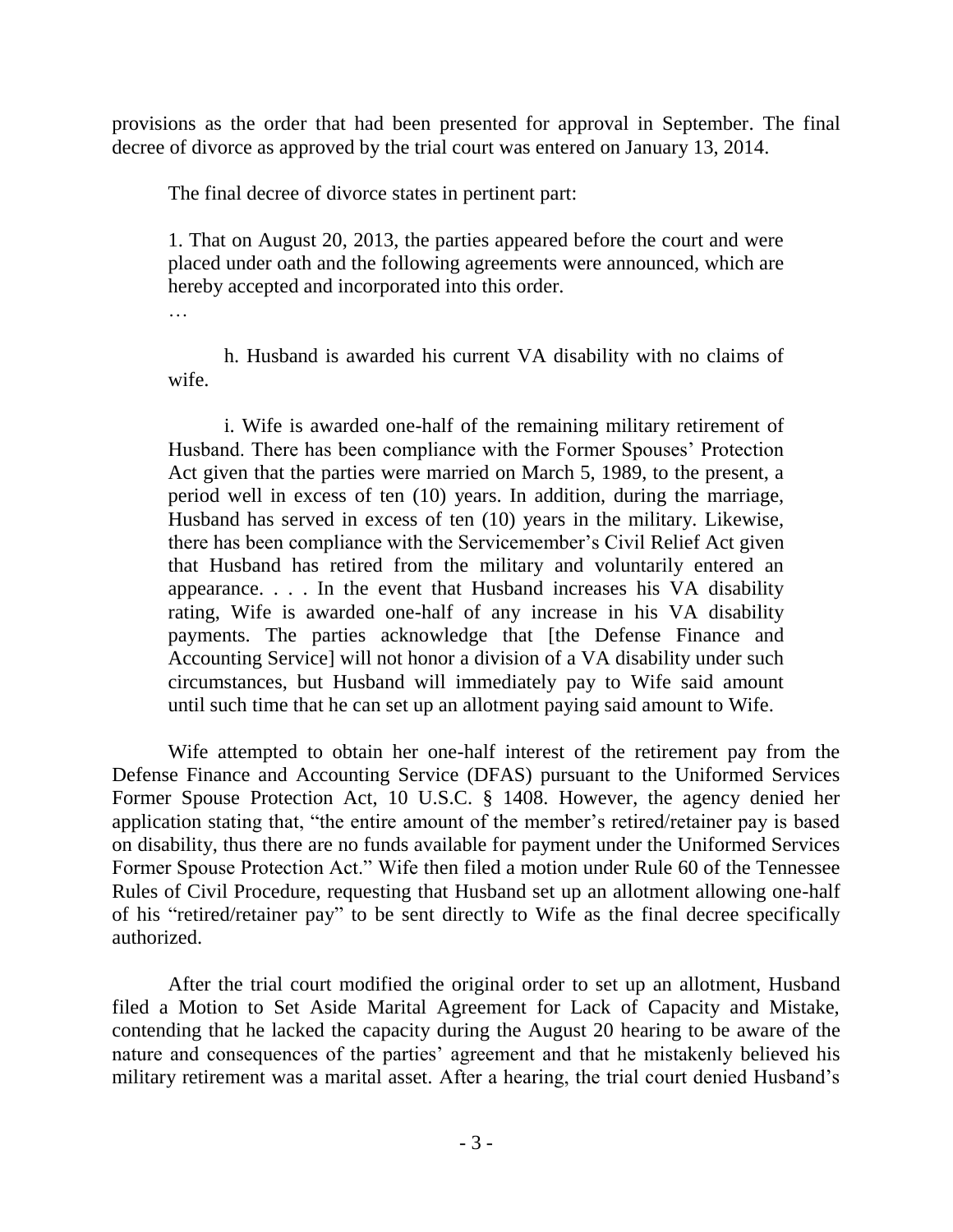provisions as the order that had been presented for approval in September. The final decree of divorce as approved by the trial court was entered on January 13, 2014.

The final decree of divorce states in pertinent part:

1. That on August 20, 2013, the parties appeared before the court and were placed under oath and the following agreements were announced, which are hereby accepted and incorporated into this order.

…

h. Husband is awarded his current VA disability with no claims of wife.

i. Wife is awarded one-half of the remaining military retirement of Husband. There has been compliance with the Former Spouses" Protection Act given that the parties were married on March 5, 1989, to the present, a period well in excess of ten (10) years. In addition, during the marriage, Husband has served in excess of ten (10) years in the military. Likewise, there has been compliance with the Servicemember"s Civil Relief Act given that Husband has retired from the military and voluntarily entered an appearance. . . . In the event that Husband increases his VA disability rating, Wife is awarded one-half of any increase in his VA disability payments. The parties acknowledge that [the Defense Finance and Accounting Service] will not honor a division of a VA disability under such circumstances, but Husband will immediately pay to Wife said amount until such time that he can set up an allotment paying said amount to Wife.

Wife attempted to obtain her one-half interest of the retirement pay from the Defense Finance and Accounting Service (DFAS) pursuant to the Uniformed Services Former Spouse Protection Act, 10 U.S.C. § 1408. However, the agency denied her application stating that, "the entire amount of the member's retired/retainer pay is based on disability, thus there are no funds available for payment under the Uniformed Services Former Spouse Protection Act." Wife then filed a motion under Rule 60 of the Tennessee Rules of Civil Procedure, requesting that Husband set up an allotment allowing one-half of his "retired/retainer pay" to be sent directly to Wife as the final decree specifically authorized.

After the trial court modified the original order to set up an allotment, Husband filed a Motion to Set Aside Marital Agreement for Lack of Capacity and Mistake, contending that he lacked the capacity during the August 20 hearing to be aware of the nature and consequences of the parties' agreement and that he mistakenly believed his military retirement was a marital asset. After a hearing, the trial court denied Husband"s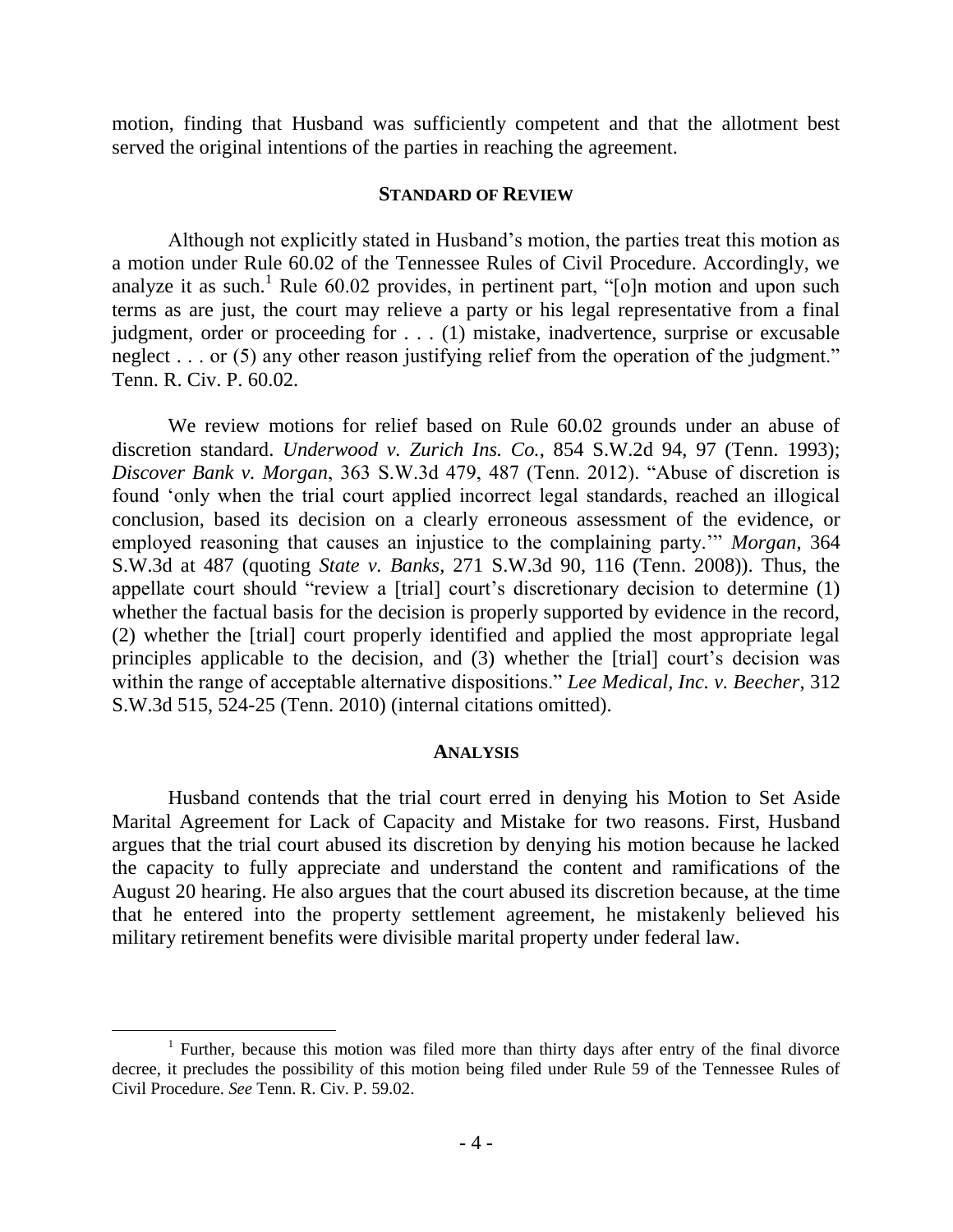motion, finding that Husband was sufficiently competent and that the allotment best served the original intentions of the parties in reaching the agreement.

#### **STANDARD OF REVIEW**

Although not explicitly stated in Husband"s motion, the parties treat this motion as a motion under Rule 60.02 of the Tennessee Rules of Civil Procedure. Accordingly, we analyze it as such.<sup>1</sup> Rule 60.02 provides, in pertinent part, " $[o]$ n motion and upon such terms as are just, the court may relieve a party or his legal representative from a final judgment, order or proceeding for . . . (1) mistake, inadvertence, surprise or excusable neglect . . . or (5) any other reason justifying relief from the operation of the judgment." Tenn. R. Civ. P. 60.02.

We review motions for relief based on Rule 60.02 grounds under an abuse of discretion standard. *Underwood v. Zurich Ins. Co.*, 854 S.W.2d 94, 97 (Tenn. 1993); *Discover Bank v. Morgan*, 363 S.W.3d 479, 487 (Tenn. 2012). "Abuse of discretion is found "only when the trial court applied incorrect legal standards, reached an illogical conclusion, based its decision on a clearly erroneous assessment of the evidence, or employed reasoning that causes an injustice to the complaining party."" *Morgan*, 364 S.W.3d at 487 (quoting *State v. Banks*, 271 S.W.3d 90, 116 (Tenn. 2008)). Thus, the appellate court should "review a [trial] court's discretionary decision to determine (1) whether the factual basis for the decision is properly supported by evidence in the record, (2) whether the [trial] court properly identified and applied the most appropriate legal principles applicable to the decision, and  $(3)$  whether the [trial] court's decision was within the range of acceptable alternative dispositions." *Lee Medical, Inc. v. Beecher*, 312 S.W.3d 515, 524-25 (Tenn. 2010) (internal citations omitted).

#### **ANALYSIS**

Husband contends that the trial court erred in denying his Motion to Set Aside Marital Agreement for Lack of Capacity and Mistake for two reasons. First, Husband argues that the trial court abused its discretion by denying his motion because he lacked the capacity to fully appreciate and understand the content and ramifications of the August 20 hearing. He also argues that the court abused its discretion because, at the time that he entered into the property settlement agreement, he mistakenly believed his military retirement benefits were divisible marital property under federal law.

<sup>&</sup>lt;sup>1</sup> Further, because this motion was filed more than thirty days after entry of the final divorce decree, it precludes the possibility of this motion being filed under Rule 59 of the Tennessee Rules of Civil Procedure. *See* Tenn. R. Civ. P. 59.02.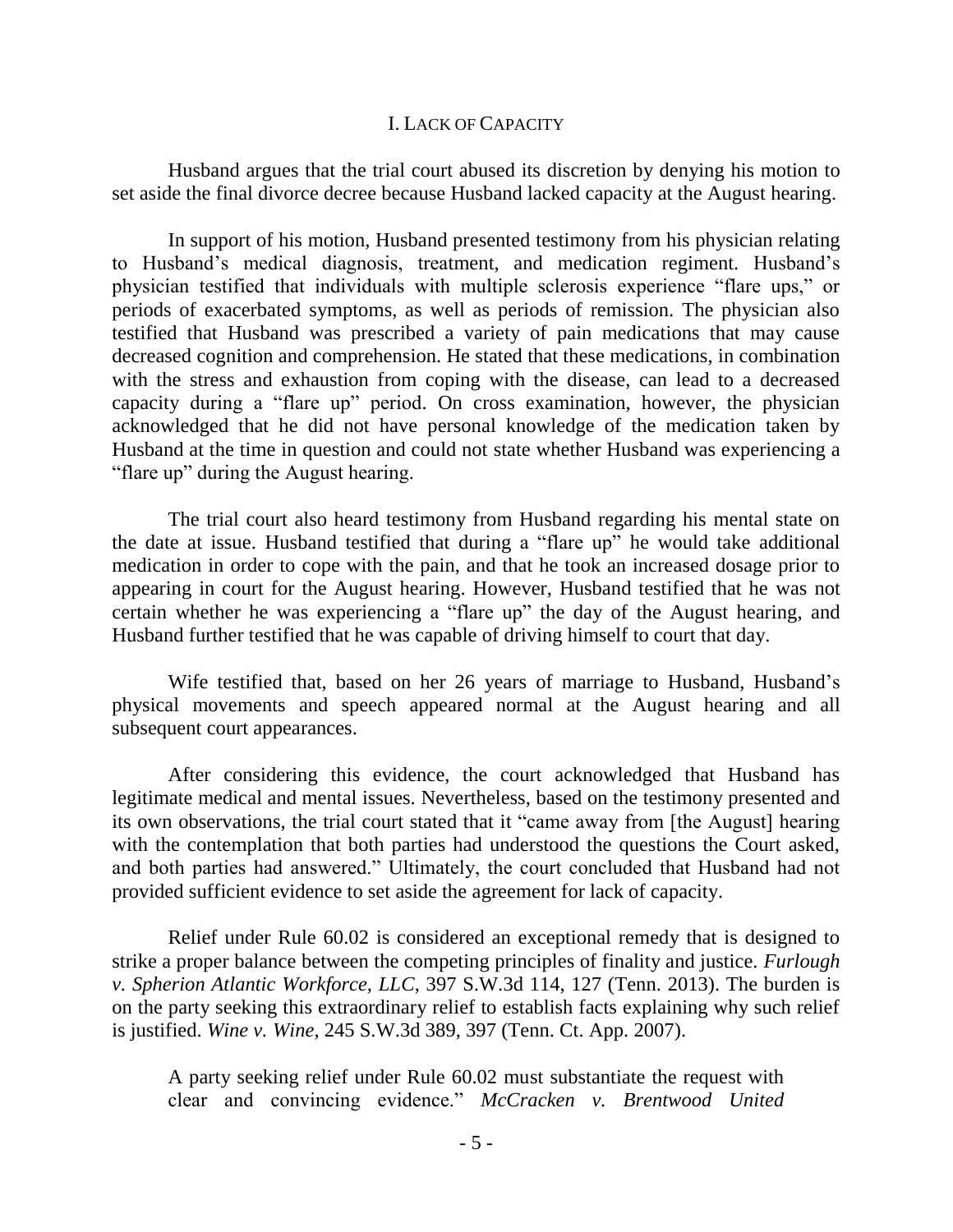### I. LACK OF CAPACITY

Husband argues that the trial court abused its discretion by denying his motion to set aside the final divorce decree because Husband lacked capacity at the August hearing.

In support of his motion, Husband presented testimony from his physician relating to Husband"s medical diagnosis, treatment, and medication regiment. Husband"s physician testified that individuals with multiple sclerosis experience "flare ups," or periods of exacerbated symptoms, as well as periods of remission. The physician also testified that Husband was prescribed a variety of pain medications that may cause decreased cognition and comprehension. He stated that these medications, in combination with the stress and exhaustion from coping with the disease, can lead to a decreased capacity during a "flare up" period. On cross examination, however, the physician acknowledged that he did not have personal knowledge of the medication taken by Husband at the time in question and could not state whether Husband was experiencing a "flare up" during the August hearing.

The trial court also heard testimony from Husband regarding his mental state on the date at issue. Husband testified that during a "flare up" he would take additional medication in order to cope with the pain, and that he took an increased dosage prior to appearing in court for the August hearing. However, Husband testified that he was not certain whether he was experiencing a "flare up" the day of the August hearing, and Husband further testified that he was capable of driving himself to court that day.

Wife testified that, based on her 26 years of marriage to Husband, Husband"s physical movements and speech appeared normal at the August hearing and all subsequent court appearances.

After considering this evidence, the court acknowledged that Husband has legitimate medical and mental issues. Nevertheless, based on the testimony presented and its own observations, the trial court stated that it "came away from [the August] hearing with the contemplation that both parties had understood the questions the Court asked, and both parties had answered." Ultimately, the court concluded that Husband had not provided sufficient evidence to set aside the agreement for lack of capacity.

Relief under Rule 60.02 is considered an exceptional remedy that is designed to strike a proper balance between the competing principles of finality and justice. *Furlough v. Spherion Atlantic Workforce, LLC*, 397 S.W.3d 114, 127 (Tenn. 2013). The burden is on the party seeking this extraordinary relief to establish facts explaining why such relief is justified. *Wine v. Wine*, 245 S.W.3d 389, 397 (Tenn. Ct. App. 2007).

A party seeking relief under Rule 60.02 must substantiate the request with clear and convincing evidence." *McCracken v. Brentwood United*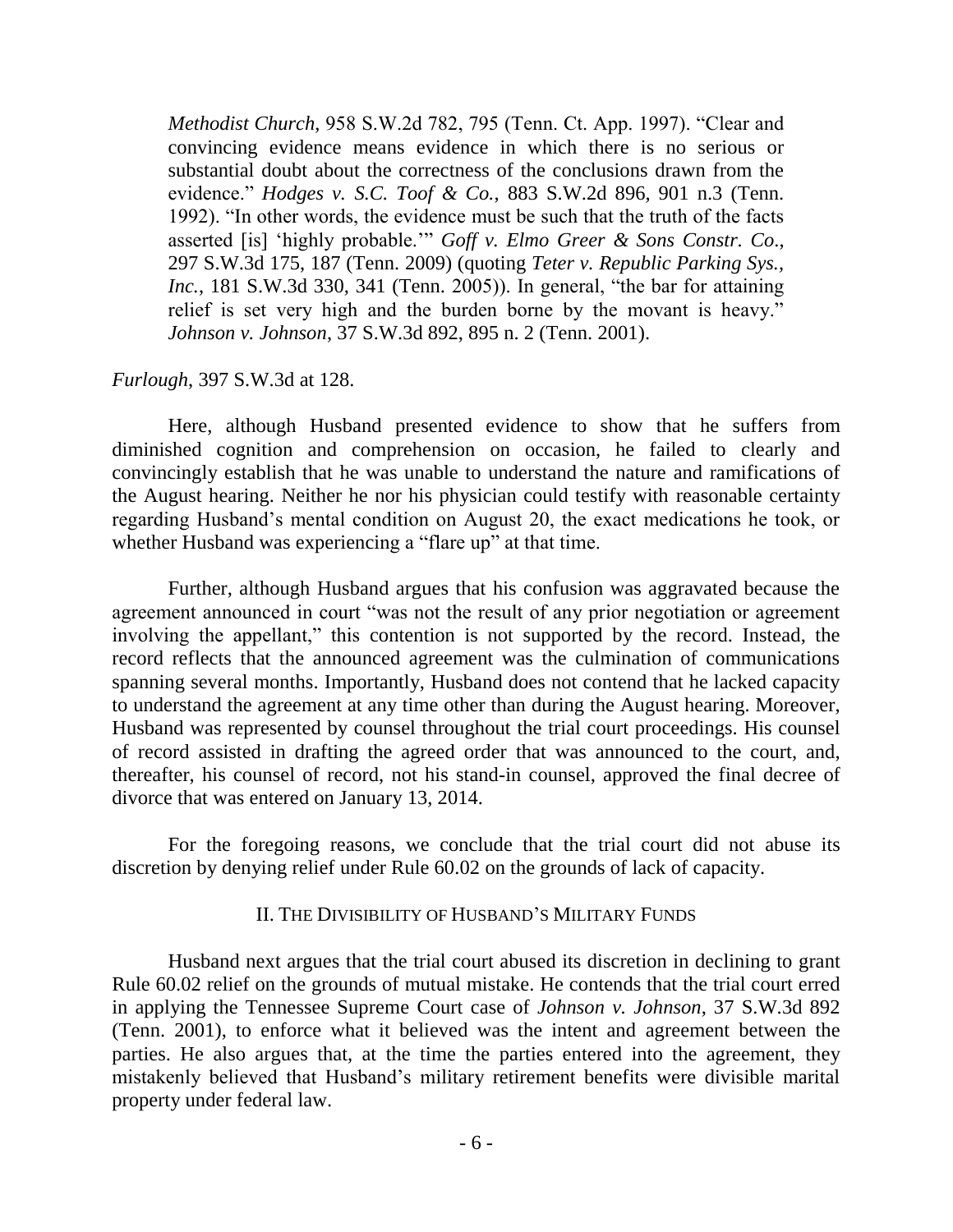*Methodist Church*, 958 S.W.2d 782, 795 (Tenn. Ct. App. 1997). "Clear and convincing evidence means evidence in which there is no serious or substantial doubt about the correctness of the conclusions drawn from the evidence." *Hodges v. S.C. Toof & Co.*, 883 S.W.2d 896, 901 n.3 (Tenn. 1992). "In other words, the evidence must be such that the truth of the facts asserted [is] "highly probable."" *Goff v. Elmo Greer & Sons Constr. Co*., 297 S.W.3d 175, 187 (Tenn. 2009) (quoting *Teter v. Republic Parking Sys., Inc.*, 181 S.W.3d 330, 341 (Tenn. 2005)). In general, "the bar for attaining relief is set very high and the burden borne by the movant is heavy." *Johnson v. Johnson*, 37 S.W.3d 892, 895 n. 2 (Tenn. 2001).

#### *Furlough*, 397 S.W.3d at 128.

Here, although Husband presented evidence to show that he suffers from diminished cognition and comprehension on occasion, he failed to clearly and convincingly establish that he was unable to understand the nature and ramifications of the August hearing. Neither he nor his physician could testify with reasonable certainty regarding Husband"s mental condition on August 20, the exact medications he took, or whether Husband was experiencing a "flare up" at that time.

Further, although Husband argues that his confusion was aggravated because the agreement announced in court "was not the result of any prior negotiation or agreement involving the appellant," this contention is not supported by the record. Instead, the record reflects that the announced agreement was the culmination of communications spanning several months. Importantly, Husband does not contend that he lacked capacity to understand the agreement at any time other than during the August hearing. Moreover, Husband was represented by counsel throughout the trial court proceedings. His counsel of record assisted in drafting the agreed order that was announced to the court, and, thereafter, his counsel of record, not his stand-in counsel, approved the final decree of divorce that was entered on January 13, 2014.

For the foregoing reasons, we conclude that the trial court did not abuse its discretion by denying relief under Rule 60.02 on the grounds of lack of capacity.

#### II. THE DIVISIBILITY OF HUSBAND"S MILITARY FUNDS

Husband next argues that the trial court abused its discretion in declining to grant Rule 60.02 relief on the grounds of mutual mistake. He contends that the trial court erred in applying the Tennessee Supreme Court case of *Johnson v. Johnson*, 37 S.W.3d 892 (Tenn. 2001), to enforce what it believed was the intent and agreement between the parties. He also argues that, at the time the parties entered into the agreement, they mistakenly believed that Husband"s military retirement benefits were divisible marital property under federal law.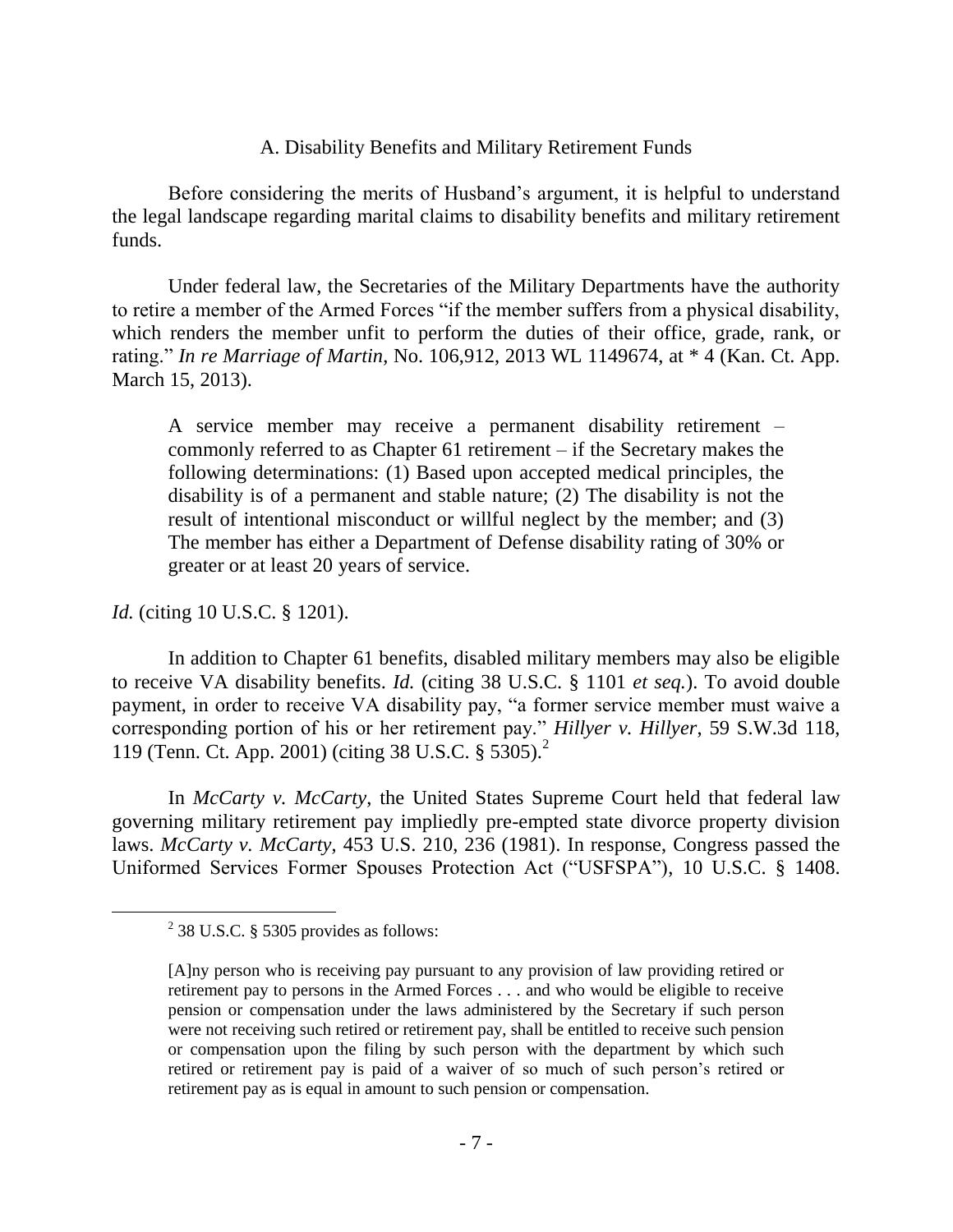# A. Disability Benefits and Military Retirement Funds

Before considering the merits of Husband"s argument, it is helpful to understand the legal landscape regarding marital claims to disability benefits and military retirement funds.

Under federal law, the Secretaries of the Military Departments have the authority to retire a member of the Armed Forces "if the member suffers from a physical disability, which renders the member unfit to perform the duties of their office, grade, rank, or rating." *In re Marriage of Martin*, No. 106,912, 2013 WL 1149674, at \* 4 (Kan. Ct. App. March 15, 2013).

A service member may receive a permanent disability retirement – commonly referred to as Chapter 61 retirement – if the Secretary makes the following determinations: (1) Based upon accepted medical principles, the disability is of a permanent and stable nature; (2) The disability is not the result of intentional misconduct or willful neglect by the member; and (3) The member has either a Department of Defense disability rating of 30% or greater or at least 20 years of service.

# *Id.* (citing 10 U.S.C. § 1201).

 $\overline{a}$ 

In addition to Chapter 61 benefits, disabled military members may also be eligible to receive VA disability benefits. *Id.* (citing 38 U.S.C. § 1101 *et seq.*). To avoid double payment, in order to receive VA disability pay, "a former service member must waive a corresponding portion of his or her retirement pay." *Hillyer v. Hillyer*, 59 S.W.3d 118, 119 (Tenn. Ct. App. 2001) (citing 38 U.S.C. § 5305). 2

In *McCarty v. McCarty*, the United States Supreme Court held that federal law governing military retirement pay impliedly pre-empted state divorce property division laws. *McCarty v. McCarty*, 453 U.S. 210, 236 (1981). In response, Congress passed the Uniformed Services Former Spouses Protection Act ("USFSPA"), 10 U.S.C. § 1408.

 $2^{2}$  38 U.S.C. § 5305 provides as follows:

<sup>[</sup>A]ny person who is receiving pay pursuant to any provision of law providing retired or retirement pay to persons in the Armed Forces . . . and who would be eligible to receive pension or compensation under the laws administered by the Secretary if such person were not receiving such retired or retirement pay, shall be entitled to receive such pension or compensation upon the filing by such person with the department by which such retired or retirement pay is paid of a waiver of so much of such person"s retired or retirement pay as is equal in amount to such pension or compensation.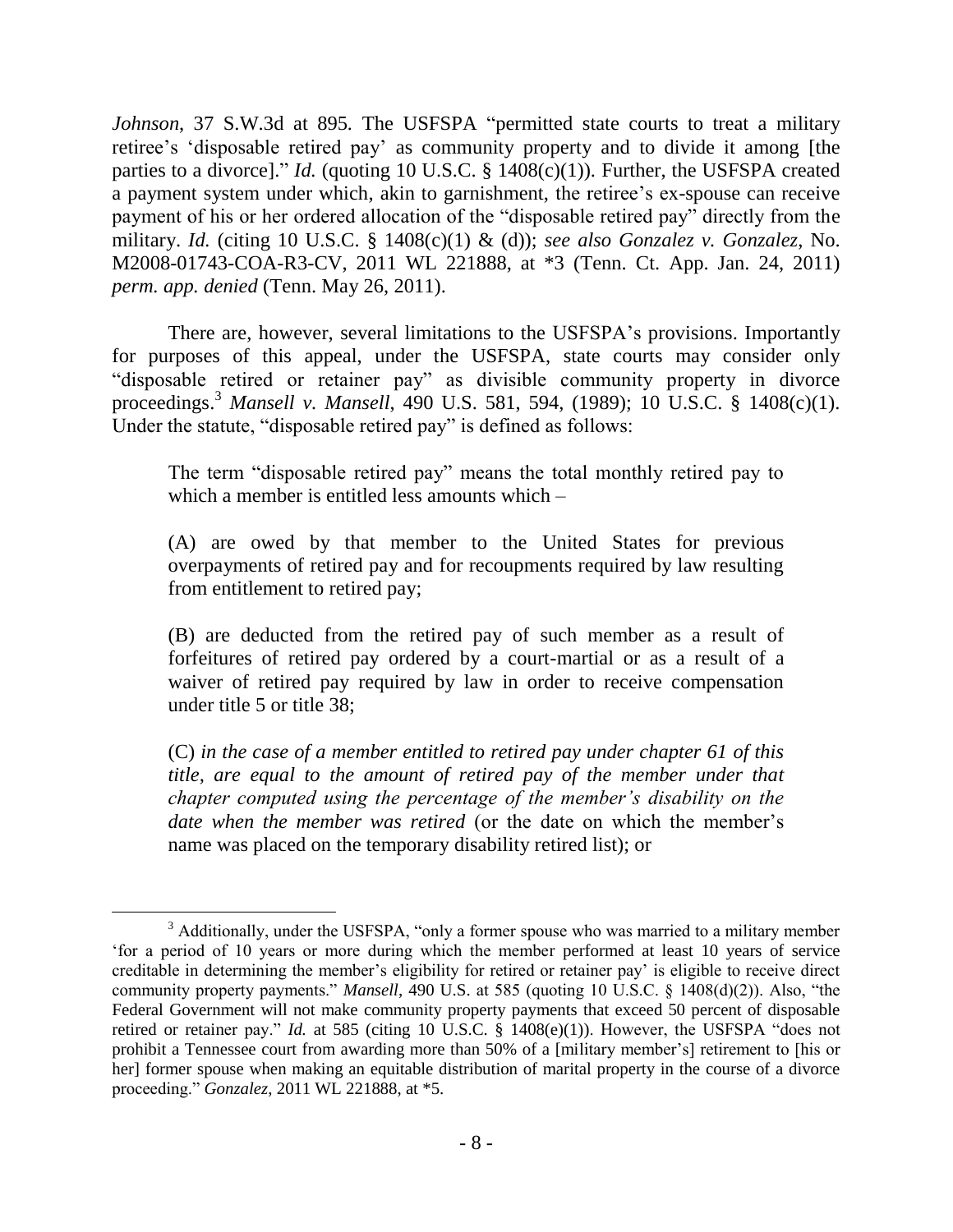*Johnson*, 37 S.W.3d at 895*.* The USFSPA "permitted state courts to treat a military retiree's 'disposable retired pay' as community property and to divide it among [the parties to a divorce]." *Id.* (quoting 10 U.S.C. § 1408(c)(1)). Further, the USFSPA created a payment system under which, akin to garnishment, the retiree's ex-spouse can receive payment of his or her ordered allocation of the "disposable retired pay" directly from the military. *Id.* (citing 10 U.S.C. § 1408(c)(1) & (d)); *see also Gonzalez v. Gonzalez*, No. M2008-01743-COA-R3-CV, 2011 WL 221888, at \*3 (Tenn. Ct. App. Jan. 24, 2011) *perm. app. denied* (Tenn. May 26, 2011).

There are, however, several limitations to the USFSPA"s provisions. Importantly for purposes of this appeal, under the USFSPA, state courts may consider only "disposable retired or retainer pay" as divisible community property in divorce proceedings.<sup>3</sup> *Mansell v. Mansell*, 490 U.S. 581, 594, (1989); 10 U.S.C. § 1408(c)(1). Under the statute, "disposable retired pay" is defined as follows:

The term "disposable retired pay" means the total monthly retired pay to which a member is entitled less amounts which –

(A) are owed by that member to the United States for previous overpayments of retired pay and for recoupments required by law resulting from entitlement to retired pay;

(B) are deducted from the retired pay of such member as a result of forfeitures of retired pay ordered by a court-martial or as a result of a waiver of retired pay required by law in order to receive compensation under title 5 or title 38;

(C) *in the case of a member entitled to retired pay under chapter 61 of this title, are equal to the amount of retired pay of the member under that chapter computed using the percentage of the member's disability on the date when the member was retired* (or the date on which the member's name was placed on the temporary disability retired list); or

<sup>&</sup>lt;sup>3</sup> Additionally, under the USFSPA, "only a former spouse who was married to a military member "for a period of 10 years or more during which the member performed at least 10 years of service creditable in determining the member"s eligibility for retired or retainer pay" is eligible to receive direct community property payments." *Mansell*, 490 U.S. at 585 (quoting 10 U.S.C. § 1408(d)(2)). Also, "the Federal Government will not make community property payments that exceed 50 percent of disposable retired or retainer pay." *Id.* at 585 (citing 10 U.S.C. § 1408(e)(1)). However, the USFSPA "does not prohibit a Tennessee court from awarding more than 50% of a [military member"s] retirement to [his or her] former spouse when making an equitable distribution of marital property in the course of a divorce proceeding." *Gonzalez*, 2011 WL 221888, at \*5.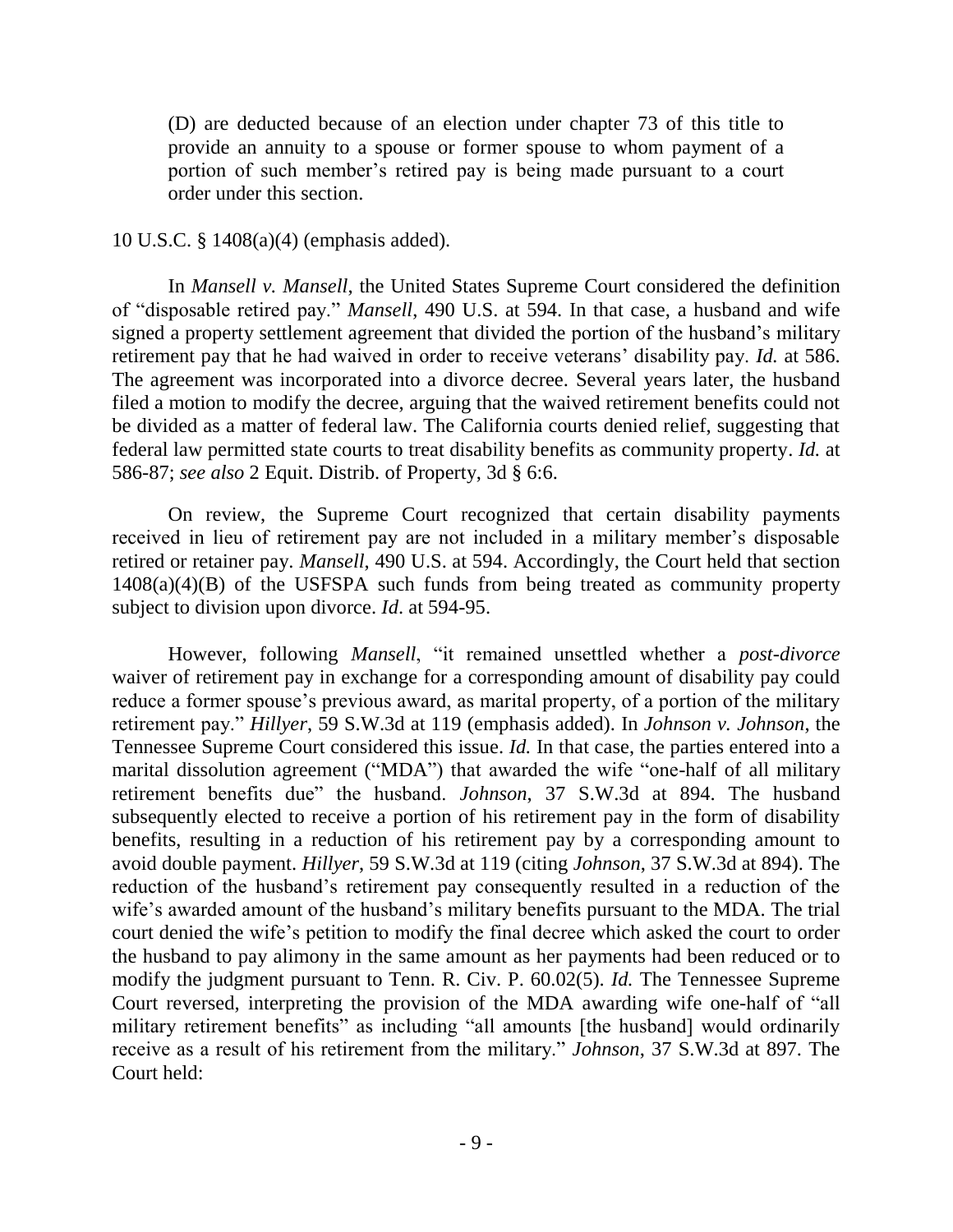(D) are deducted because of an election under chapter 73 of this title to provide an annuity to a spouse or former spouse to whom payment of a portion of such member"s retired pay is being made pursuant to a court order under this section.

## 10 U.S.C. § 1408(a)(4) (emphasis added).

In *Mansell v. Mansell*, the United States Supreme Court considered the definition of "disposable retired pay." *Mansell*, 490 U.S. at 594. In that case, a husband and wife signed a property settlement agreement that divided the portion of the husband"s military retirement pay that he had waived in order to receive veterans" disability pay. *Id.* at 586. The agreement was incorporated into a divorce decree. Several years later, the husband filed a motion to modify the decree, arguing that the waived retirement benefits could not be divided as a matter of federal law. The California courts denied relief, suggesting that federal law permitted state courts to treat disability benefits as community property. *Id.* at 586-87; *see also* 2 Equit. Distrib. of Property, 3d § 6:6.

On review, the Supreme Court recognized that certain disability payments received in lieu of retirement pay are not included in a military member"s disposable retired or retainer pay. *Mansell*, 490 U.S. at 594. Accordingly, the Court held that section  $1408(a)(4)(B)$  of the USFSPA such funds from being treated as community property subject to division upon divorce. *Id*. at 594-95.

However, following *Mansell*, "it remained unsettled whether a *post-divorce* waiver of retirement pay in exchange for a corresponding amount of disability pay could reduce a former spouse's previous award, as marital property, of a portion of the military retirement pay." *Hillyer*, 59 S.W.3d at 119 (emphasis added). In *Johnson v. Johnson*, the Tennessee Supreme Court considered this issue. *Id.* In that case, the parties entered into a marital dissolution agreement ("MDA") that awarded the wife "one-half of all military retirement benefits due" the husband. *Johnson*, 37 S.W.3d at 894. The husband subsequently elected to receive a portion of his retirement pay in the form of disability benefits, resulting in a reduction of his retirement pay by a corresponding amount to avoid double payment. *Hillyer*, 59 S.W.3d at 119 (citing *Johnson*, 37 S.W.3d at 894). The reduction of the husband"s retirement pay consequently resulted in a reduction of the wife's awarded amount of the husband's military benefits pursuant to the MDA. The trial court denied the wife"s petition to modify the final decree which asked the court to order the husband to pay alimony in the same amount as her payments had been reduced or to modify the judgment pursuant to Tenn. R. Civ. P. 60.02(5). *Id.* The Tennessee Supreme Court reversed, interpreting the provision of the MDA awarding wife one-half of "all military retirement benefits" as including "all amounts [the husband] would ordinarily receive as a result of his retirement from the military." *Johnson*, 37 S.W.3d at 897. The Court held: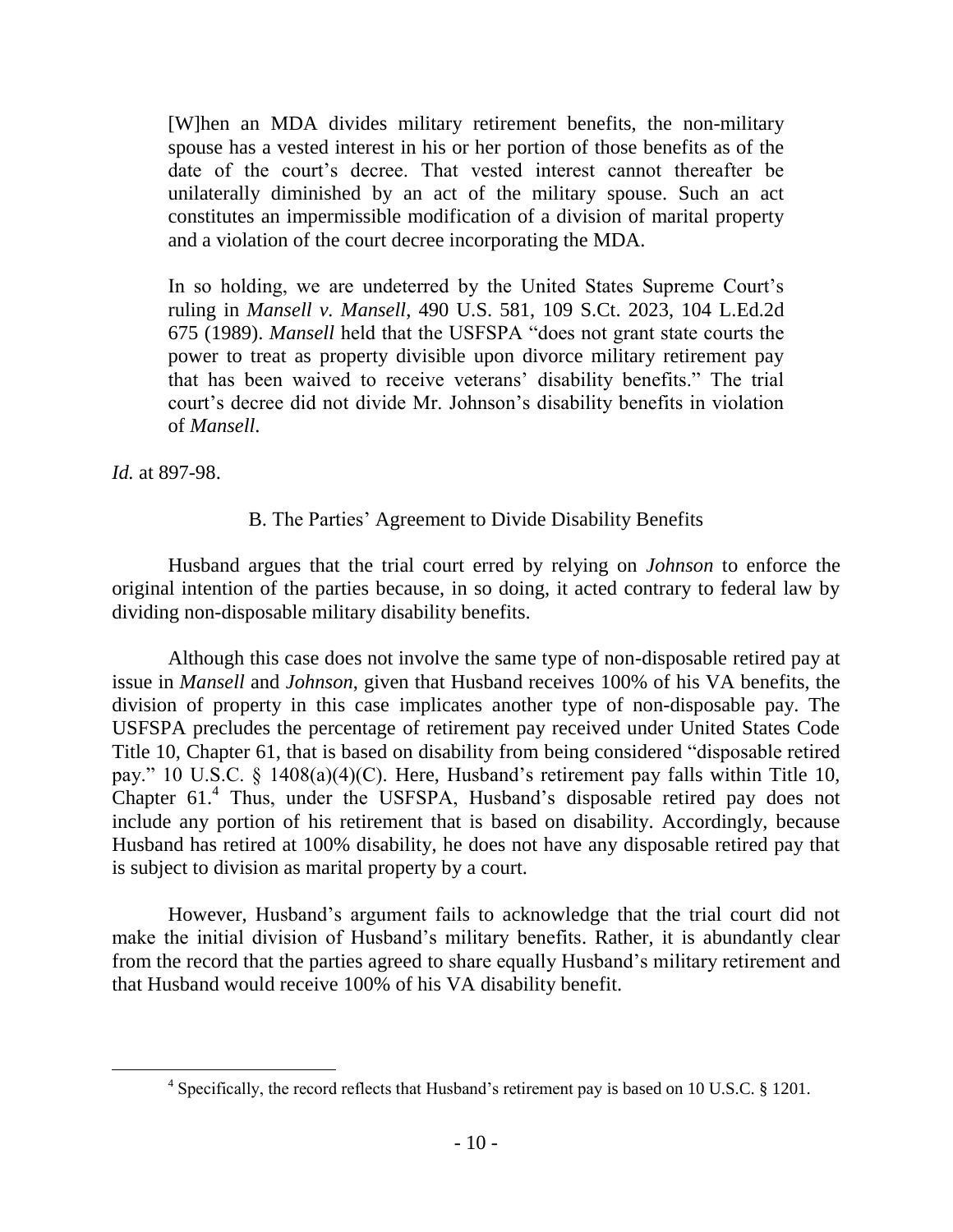[W]hen an MDA divides military retirement benefits, the non-military spouse has a vested interest in his or her portion of those benefits as of the date of the court"s decree. That vested interest cannot thereafter be unilaterally diminished by an act of the military spouse. Such an act constitutes an impermissible modification of a division of marital property and a violation of the court decree incorporating the MDA.

In so holding, we are undeterred by the United States Supreme Court's ruling in *Mansell v. Mansell*, 490 U.S. 581, 109 S.Ct. 2023, 104 L.Ed.2d 675 (1989). *Mansell* held that the USFSPA "does not grant state courts the power to treat as property divisible upon divorce military retirement pay that has been waived to receive veterans" disability benefits." The trial court"s decree did not divide Mr. Johnson"s disability benefits in violation of *Mansell*.

*Id.* at 897-98.

 $\overline{a}$ 

# B. The Parties" Agreement to Divide Disability Benefits

Husband argues that the trial court erred by relying on *Johnson* to enforce the original intention of the parties because, in so doing, it acted contrary to federal law by dividing non-disposable military disability benefits.

Although this case does not involve the same type of non-disposable retired pay at issue in *Mansell* and *Johnson*, given that Husband receives 100% of his VA benefits, the division of property in this case implicates another type of non-disposable pay. The USFSPA precludes the percentage of retirement pay received under United States Code Title 10, Chapter 61, that is based on disability from being considered "disposable retired pay." 10 U.S.C. § 1408(a)(4)(C). Here, Husband"s retirement pay falls within Title 10, Chapter 61.<sup>4</sup> Thus, under the USFSPA, Husband's disposable retired pay does not include any portion of his retirement that is based on disability. Accordingly, because Husband has retired at 100% disability, he does not have any disposable retired pay that is subject to division as marital property by a court.

However, Husband"s argument fails to acknowledge that the trial court did not make the initial division of Husband's military benefits. Rather, it is abundantly clear from the record that the parties agreed to share equally Husband"s military retirement and that Husband would receive 100% of his VA disability benefit.

<sup>&</sup>lt;sup>4</sup> Specifically, the record reflects that Husband's retirement pay is based on 10 U.S.C. § 1201.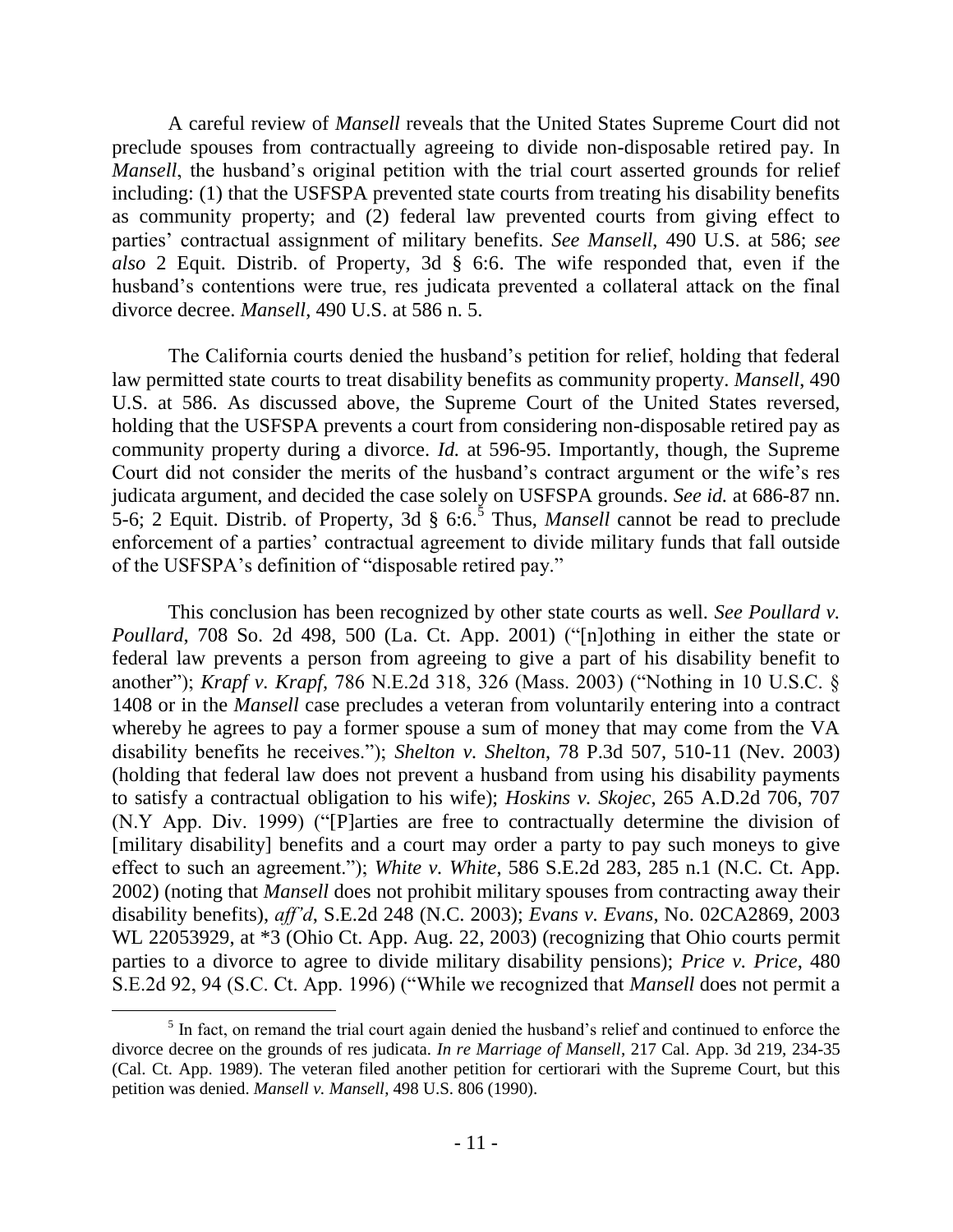A careful review of *Mansell* reveals that the United States Supreme Court did not preclude spouses from contractually agreeing to divide non-disposable retired pay. In *Mansell*, the husband's original petition with the trial court asserted grounds for relief including: (1) that the USFSPA prevented state courts from treating his disability benefits as community property; and (2) federal law prevented courts from giving effect to parties" contractual assignment of military benefits. *See Mansell*, 490 U.S. at 586; *see also* 2 Equit. Distrib. of Property, 3d § 6:6. The wife responded that, even if the husband's contentions were true, res judicata prevented a collateral attack on the final divorce decree. *Mansell*, 490 U.S. at 586 n. 5.

The California courts denied the husband"s petition for relief, holding that federal law permitted state courts to treat disability benefits as community property. *Mansell*, 490 U.S. at 586. As discussed above, the Supreme Court of the United States reversed, holding that the USFSPA prevents a court from considering non-disposable retired pay as community property during a divorce. *Id.* at 596-95. Importantly, though, the Supreme Court did not consider the merits of the husband"s contract argument or the wife"s res judicata argument, and decided the case solely on USFSPA grounds. *See id.* at 686-87 nn. 5-6; 2 Equit. Distrib. of Property, 3d  $\S 6:6$ .<sup>5</sup> Thus, *Mansell* cannot be read to preclude enforcement of a parties" contractual agreement to divide military funds that fall outside of the USFSPA"s definition of "disposable retired pay."

This conclusion has been recognized by other state courts as well. *See Poullard v. Poullard*, 708 So. 2d 498, 500 (La. Ct. App. 2001) ("[n]othing in either the state or federal law prevents a person from agreeing to give a part of his disability benefit to another"); *Krapf v. Krapf*, 786 N.E.2d 318, 326 (Mass. 2003) ("Nothing in 10 U.S.C. § 1408 or in the *Mansell* case precludes a veteran from voluntarily entering into a contract whereby he agrees to pay a former spouse a sum of money that may come from the VA disability benefits he receives."); *Shelton v. Shelton*, 78 P.3d 507, 510-11 (Nev. 2003) (holding that federal law does not prevent a husband from using his disability payments to satisfy a contractual obligation to his wife); *Hoskins v. Skojec*, 265 A.D.2d 706, 707 (N.Y App. Div. 1999) ("[P]arties are free to contractually determine the division of [military disability] benefits and a court may order a party to pay such moneys to give effect to such an agreement."); *White v. White*, 586 S.E.2d 283, 285 n.1 (N.C. Ct. App. 2002) (noting that *Mansell* does not prohibit military spouses from contracting away their disability benefits), *aff'd*, S.E.2d 248 (N.C. 2003); *Evans v. Evans*, No. 02CA2869, 2003 WL 22053929, at \*3 (Ohio Ct. App. Aug. 22, 2003) (recognizing that Ohio courts permit parties to a divorce to agree to divide military disability pensions); *Price v. Price*, 480 S.E.2d 92, 94 (S.C. Ct. App. 1996) ("While we recognized that *Mansell* does not permit a

<sup>&</sup>lt;sup>5</sup> In fact, on remand the trial court again denied the husband's relief and continued to enforce the divorce decree on the grounds of res judicata*. In re Marriage of Mansell*, 217 Cal. App. 3d 219, 234-35 (Cal. Ct. App. 1989). The veteran filed another petition for certiorari with the Supreme Court, but this petition was denied. *Mansell v. Mansell*, 498 U.S. 806 (1990).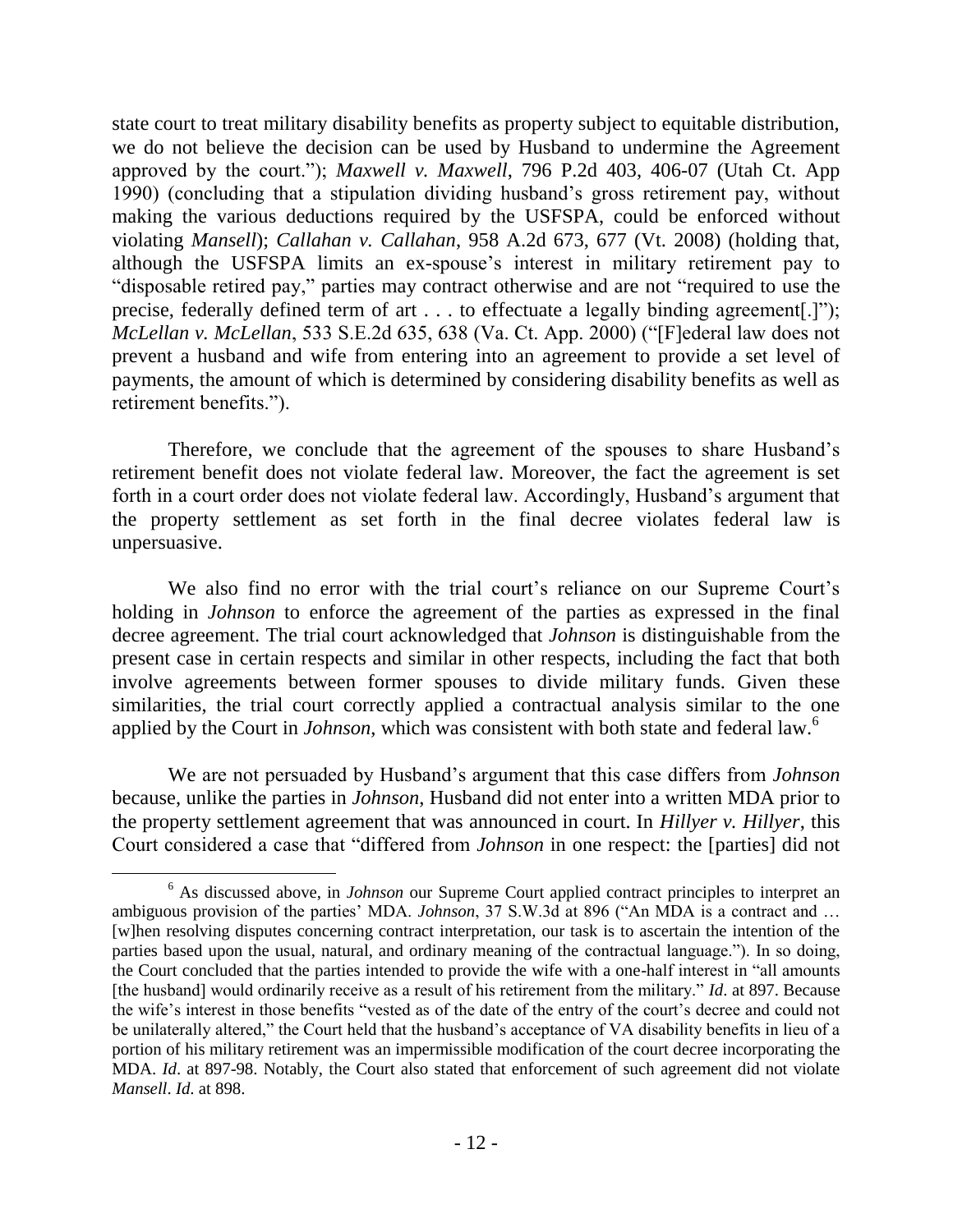state court to treat military disability benefits as property subject to equitable distribution, we do not believe the decision can be used by Husband to undermine the Agreement approved by the court."); *Maxwell v. Maxwell*, 796 P.2d 403, 406-07 (Utah Ct. App 1990) (concluding that a stipulation dividing husband"s gross retirement pay, without making the various deductions required by the USFSPA, could be enforced without violating *Mansell*); *Callahan v. Callahan*, 958 A.2d 673, 677 (Vt. 2008) (holding that, although the USFSPA limits an ex-spouse"s interest in military retirement pay to "disposable retired pay," parties may contract otherwise and are not "required to use the precise, federally defined term of art . . . to effectuate a legally binding agreement[.]"); *McLellan v. McLellan*, 533 S.E.2d 635, 638 (Va. Ct. App. 2000) ("[F]ederal law does not prevent a husband and wife from entering into an agreement to provide a set level of payments, the amount of which is determined by considering disability benefits as well as retirement benefits.").

Therefore, we conclude that the agreement of the spouses to share Husband"s retirement benefit does not violate federal law. Moreover, the fact the agreement is set forth in a court order does not violate federal law. Accordingly, Husband's argument that the property settlement as set forth in the final decree violates federal law is unpersuasive.

We also find no error with the trial court's reliance on our Supreme Court's holding in *Johnson* to enforce the agreement of the parties as expressed in the final decree agreement. The trial court acknowledged that *Johnson* is distinguishable from the present case in certain respects and similar in other respects, including the fact that both involve agreements between former spouses to divide military funds. Given these similarities, the trial court correctly applied a contractual analysis similar to the one applied by the Court in *Johnson*, which was consistent with both state and federal law.<sup>6</sup>

We are not persuaded by Husband"s argument that this case differs from *Johnson*  because, unlike the parties in *Johnson*, Husband did not enter into a written MDA prior to the property settlement agreement that was announced in court. In *Hillyer v. Hillyer*, this Court considered a case that "differed from *Johnson* in one respect: the [parties] did not

<sup>&</sup>lt;sup>6</sup> As discussed above, in *Johnson* our Supreme Court applied contract principles to interpret an ambiguous provision of the parties" MDA. *Johnson*, 37 S.W.3d at 896 ("An MDA is a contract and … [w]hen resolving disputes concerning contract interpretation, our task is to ascertain the intention of the parties based upon the usual, natural, and ordinary meaning of the contractual language."). In so doing, the Court concluded that the parties intended to provide the wife with a one-half interest in "all amounts [the husband] would ordinarily receive as a result of his retirement from the military." *Id*. at 897. Because the wife's interest in those benefits "vested as of the date of the entry of the court's decree and could not be unilaterally altered," the Court held that the husband"s acceptance of VA disability benefits in lieu of a portion of his military retirement was an impermissible modification of the court decree incorporating the MDA. *Id*. at 897-98. Notably, the Court also stated that enforcement of such agreement did not violate *Mansell*. *Id*. at 898.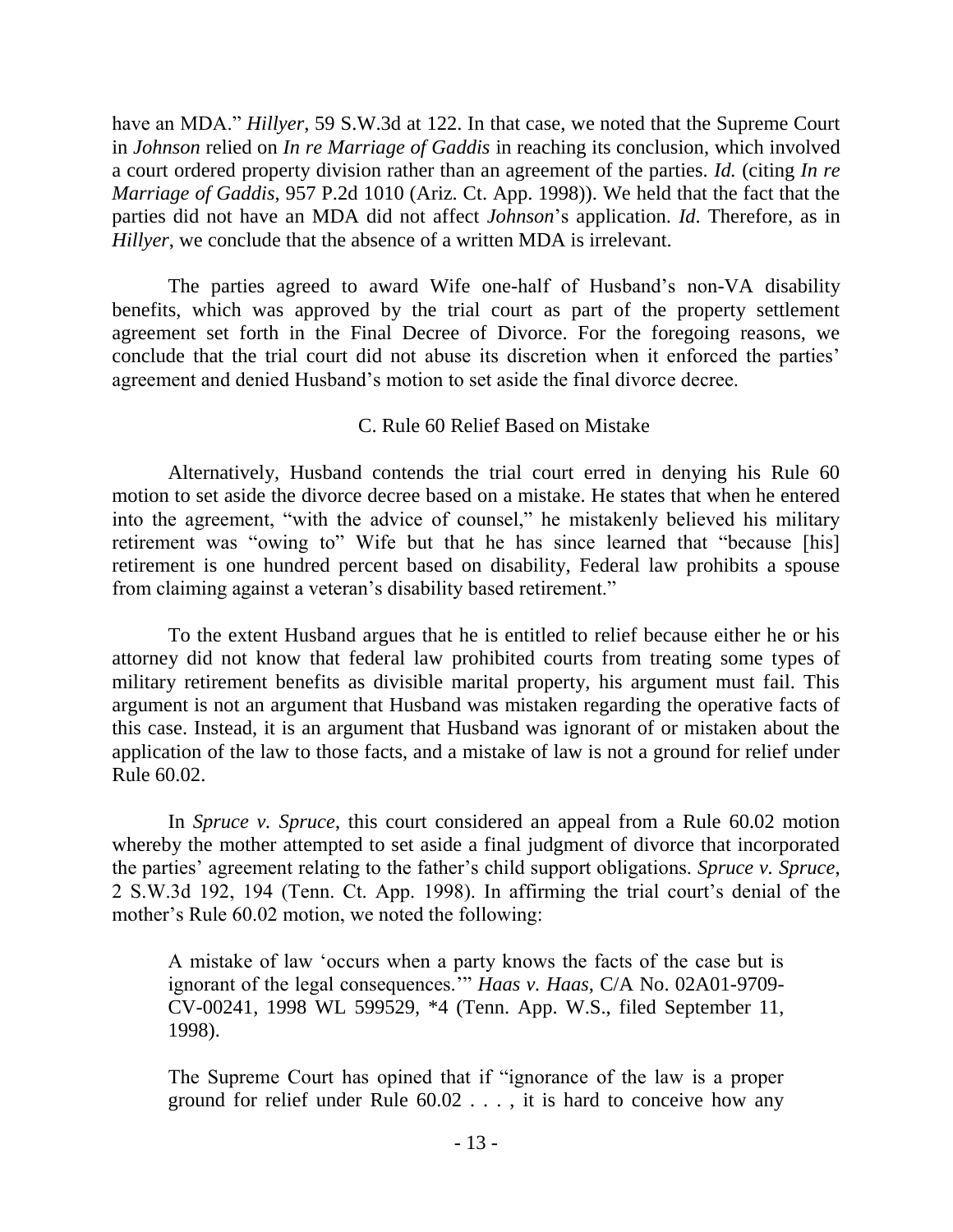have an MDA." *Hillyer*, 59 S.W.3d at 122. In that case, we noted that the Supreme Court in *Johnson* relied on *In re Marriage of Gaddis* in reaching its conclusion, which involved a court ordered property division rather than an agreement of the parties. *Id.* (citing *In re Marriage of Gaddis*, 957 P.2d 1010 (Ariz. Ct. App. 1998)). We held that the fact that the parties did not have an MDA did not affect *Johnson*"s application. *Id*. Therefore, as in *Hillyer*, we conclude that the absence of a written MDA is irrelevant.

The parties agreed to award Wife one-half of Husband"s non-VA disability benefits, which was approved by the trial court as part of the property settlement agreement set forth in the Final Decree of Divorce. For the foregoing reasons, we conclude that the trial court did not abuse its discretion when it enforced the parties' agreement and denied Husband"s motion to set aside the final divorce decree.

# C. Rule 60 Relief Based on Mistake

Alternatively, Husband contends the trial court erred in denying his Rule 60 motion to set aside the divorce decree based on a mistake. He states that when he entered into the agreement, "with the advice of counsel," he mistakenly believed his military retirement was "owing to" Wife but that he has since learned that "because [his] retirement is one hundred percent based on disability, Federal law prohibits a spouse from claiming against a veteran"s disability based retirement."

To the extent Husband argues that he is entitled to relief because either he or his attorney did not know that federal law prohibited courts from treating some types of military retirement benefits as divisible marital property, his argument must fail. This argument is not an argument that Husband was mistaken regarding the operative facts of this case. Instead, it is an argument that Husband was ignorant of or mistaken about the application of the law to those facts, and a mistake of law is not a ground for relief under Rule 60.02.

In *Spruce v. Spruce*, this court considered an appeal from a Rule 60.02 motion whereby the mother attempted to set aside a final judgment of divorce that incorporated the parties" agreement relating to the father"s child support obligations. *Spruce v. Spruce*, 2 S.W.3d 192, 194 (Tenn. Ct. App. 1998). In affirming the trial court"s denial of the mother's Rule 60.02 motion, we noted the following:

A mistake of law "occurs when a party knows the facts of the case but is ignorant of the legal consequences."" *Haas v. Haas*, C/A No. 02A01-9709- CV-00241, 1998 WL 599529, \*4 (Tenn. App. W.S., filed September 11, 1998).

The Supreme Court has opined that if "ignorance of the law is a proper ground for relief under Rule 60.02 . . . , it is hard to conceive how any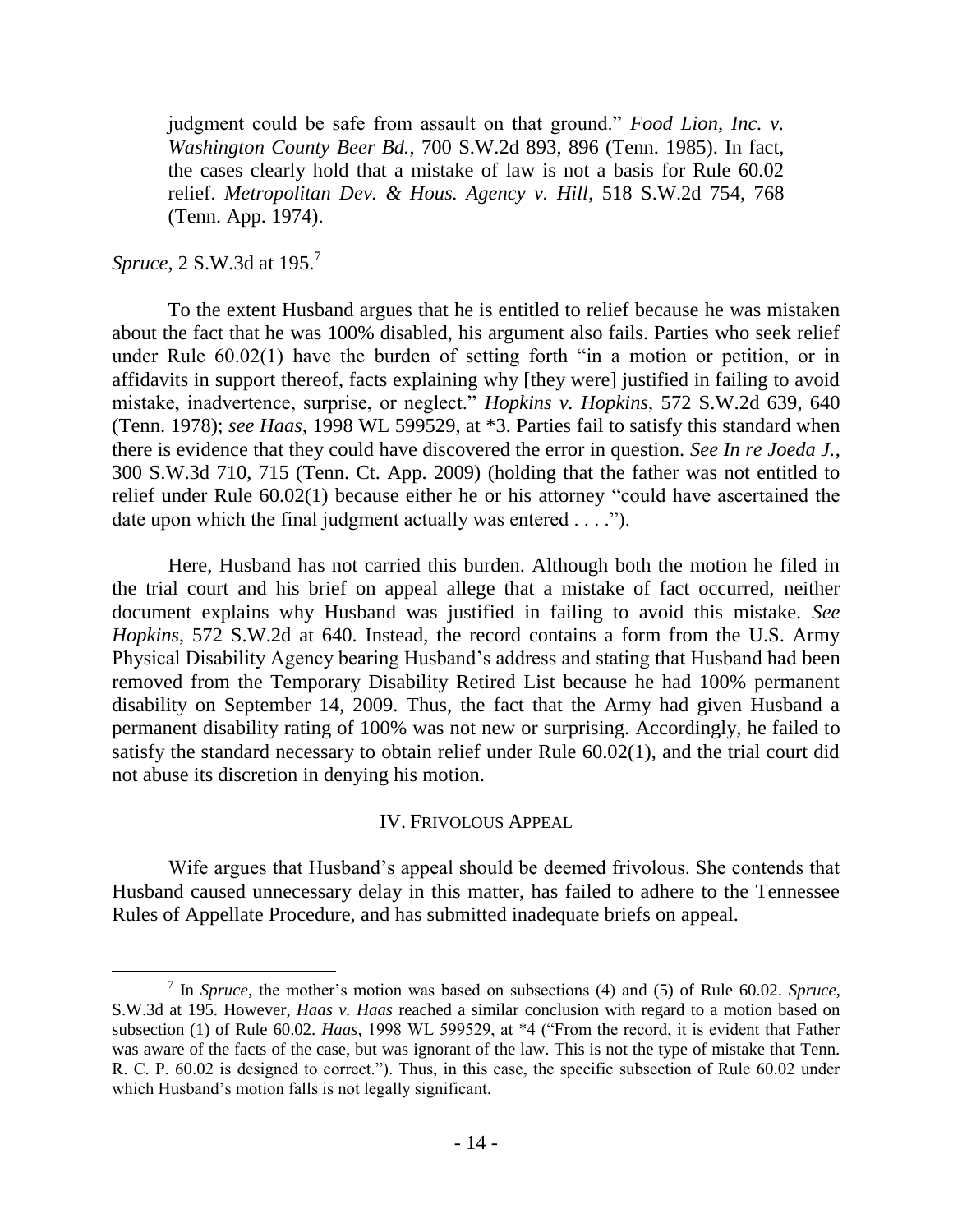judgment could be safe from assault on that ground." *Food Lion, Inc. v. Washington County Beer Bd.*, 700 S.W.2d 893, 896 (Tenn. 1985). In fact, the cases clearly hold that a mistake of law is not a basis for Rule 60.02 relief. *Metropolitan Dev. & Hous. Agency v. Hill*, 518 S.W.2d 754, 768 (Tenn. App. 1974).

# *Spruce*, 2 S.W.3d at 195.<sup>7</sup>

 $\overline{a}$ 

To the extent Husband argues that he is entitled to relief because he was mistaken about the fact that he was 100% disabled, his argument also fails. Parties who seek relief under Rule 60.02(1) have the burden of setting forth "in a motion or petition, or in affidavits in support thereof, facts explaining why [they were] justified in failing to avoid mistake, inadvertence, surprise, or neglect." *Hopkins v. Hopkins*, 572 S.W.2d 639, 640 (Tenn. 1978); *see Haas*, 1998 WL 599529, at \*3. Parties fail to satisfy this standard when there is evidence that they could have discovered the error in question. *See In re Joeda J.*, 300 S.W.3d 710, 715 (Tenn. Ct. App. 2009) (holding that the father was not entitled to relief under Rule 60.02(1) because either he or his attorney "could have ascertained the date upon which the final judgment actually was entered . . . .").

Here, Husband has not carried this burden. Although both the motion he filed in the trial court and his brief on appeal allege that a mistake of fact occurred, neither document explains why Husband was justified in failing to avoid this mistake. *See Hopkins*, 572 S.W.2d at 640. Instead, the record contains a form from the U.S. Army Physical Disability Agency bearing Husband"s address and stating that Husband had been removed from the Temporary Disability Retired List because he had 100% permanent disability on September 14, 2009. Thus, the fact that the Army had given Husband a permanent disability rating of 100% was not new or surprising. Accordingly, he failed to satisfy the standard necessary to obtain relief under Rule 60.02(1), and the trial court did not abuse its discretion in denying his motion.

#### IV. FRIVOLOUS APPEAL

Wife argues that Husband's appeal should be deemed frivolous. She contends that Husband caused unnecessary delay in this matter, has failed to adhere to the Tennessee Rules of Appellate Procedure, and has submitted inadequate briefs on appeal.

<sup>7</sup> In *Spruce*, the mother"s motion was based on subsections (4) and (5) of Rule 60.02. *Spruce*, S.W.3d at 195. However, *Haas v. Haas* reached a similar conclusion with regard to a motion based on subsection (1) of Rule 60.02. *Haas*, 1998 WL 599529, at \*4 ("From the record, it is evident that Father was aware of the facts of the case, but was ignorant of the law. This is not the type of mistake that Tenn. R. C. P. 60.02 is designed to correct."). Thus, in this case, the specific subsection of Rule 60.02 under which Husband's motion falls is not legally significant.